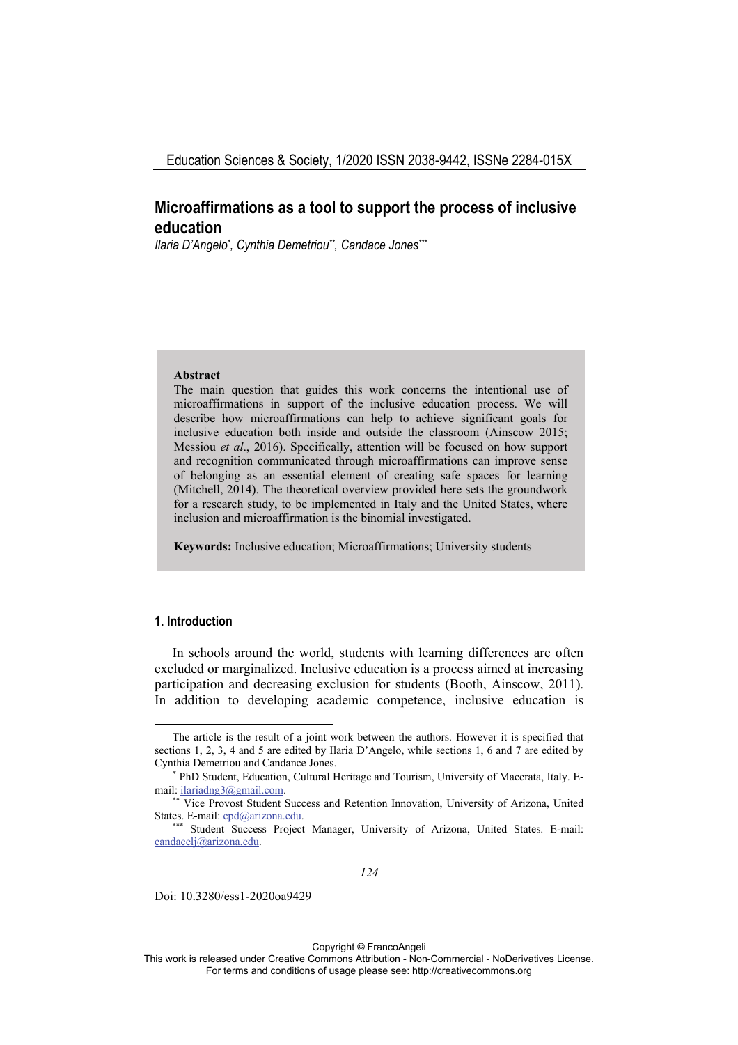# **Microaffirmations as a tool to support the process of inclusive education**

*Ilaria D'Angelo\* , Cynthia Demetriou\*\*, Candace Jones\*\*\**

#### **Abstract**

The main question that guides this work concerns the intentional use of microaffirmations in support of the inclusive education process. We will describe how microaffirmations can help to achieve significant goals for inclusive education both inside and outside the classroom (Ainscow 2015; Messiou *et al*., 2016). Specifically, attention will be focused on how support and recognition communicated through microaffirmations can improve sense of belonging as an essential element of creating safe spaces for learning (Mitchell, 2014). The theoretical overview provided here sets the groundwork for a research study, to be implemented in Italy and the United States, where inclusion and microaffirmation is the binomial investigated.

**Keywords:** Inclusive education; Microaffirmations; University students

## **1. Introduction**

In schools around the world, students with learning differences are often excluded or marginalized. Inclusive education is a process aimed at increasing participation and decreasing exclusion for students (Booth, Ainscow, 2011). In addition to developing academic competence, inclusive education is

Doi: 10.3280/ess1-2020oa9429

Copyright © FrancoAngeli

The article is the result of a joint work between the authors. However it is specified that sections 1, 2, 3, 4 and 5 are edited by Ilaria D'Angelo, while sections 1, 6 and 7 are edited by Cynthia Demetriou and Candance Jones. \*

PhD Student, Education, Cultural Heritage and Tourism, University of Macerata, Italy. Email: ilariadng3@gmail.com.<br>\*\* Vice Provost Student Success and Retention Innovation, University of Arizona, United

States. E-mail: cpd@arizona.edu. \*\*\* Student Success Project Manager, University of Arizona, United States. E-mail:

candacelj@arizona.edu.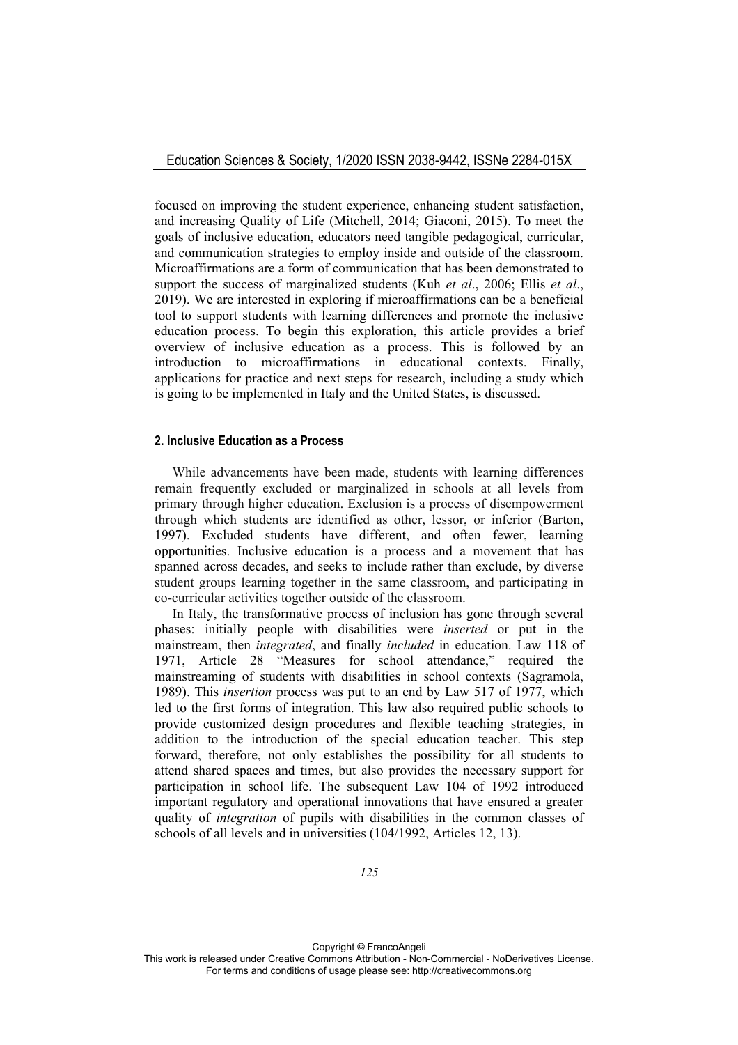focused on improving the student experience, enhancing student satisfaction, and increasing Quality of Life (Mitchell, 2014; Giaconi, 2015). To meet the goals of inclusive education, educators need tangible pedagogical, curricular, and communication strategies to employ inside and outside of the classroom. Microaffirmations are a form of communication that has been demonstrated to support the success of marginalized students (Kuh *et al*., 2006; Ellis *et al*., 2019). We are interested in exploring if microaffirmations can be a beneficial tool to support students with learning differences and promote the inclusive education process. To begin this exploration, this article provides a brief overview of inclusive education as a process. This is followed by an introduction to microaffirmations in educational contexts. Finally, applications for practice and next steps for research, including a study which is going to be implemented in Italy and the United States, is discussed.

# **2. Inclusive Education as a Process**

While advancements have been made, students with learning differences remain frequently excluded or marginalized in schools at all levels from primary through higher education. Exclusion is a process of disempowerment through which students are identified as other, lessor, or inferior (Barton, 1997). Excluded students have different, and often fewer, learning opportunities. Inclusive education is a process and a movement that has spanned across decades, and seeks to include rather than exclude, by diverse student groups learning together in the same classroom, and participating in co-curricular activities together outside of the classroom.

In Italy, the transformative process of inclusion has gone through several phases: initially people with disabilities were *inserted* or put in the mainstream, then *integrated*, and finally *included* in education. Law 118 of 1971, Article 28 "Measures for school attendance," required the mainstreaming of students with disabilities in school contexts (Sagramola, 1989). This *insertion* process was put to an end by Law 517 of 1977, which led to the first forms of integration. This law also required public schools to provide customized design procedures and flexible teaching strategies, in addition to the introduction of the special education teacher. This step forward, therefore, not only establishes the possibility for all students to attend shared spaces and times, but also provides the necessary support for participation in school life. The subsequent Law 104 of 1992 introduced important regulatory and operational innovations that have ensured a greater quality of *integration* of pupils with disabilities in the common classes of schools of all levels and in universities (104/1992, Articles 12, 13).

Copyright © FrancoAngeli This work is released under Creative Commons Attribution - Non-Commercial - NoDerivatives License. For terms and conditions of usage please see: http://creativecommons.org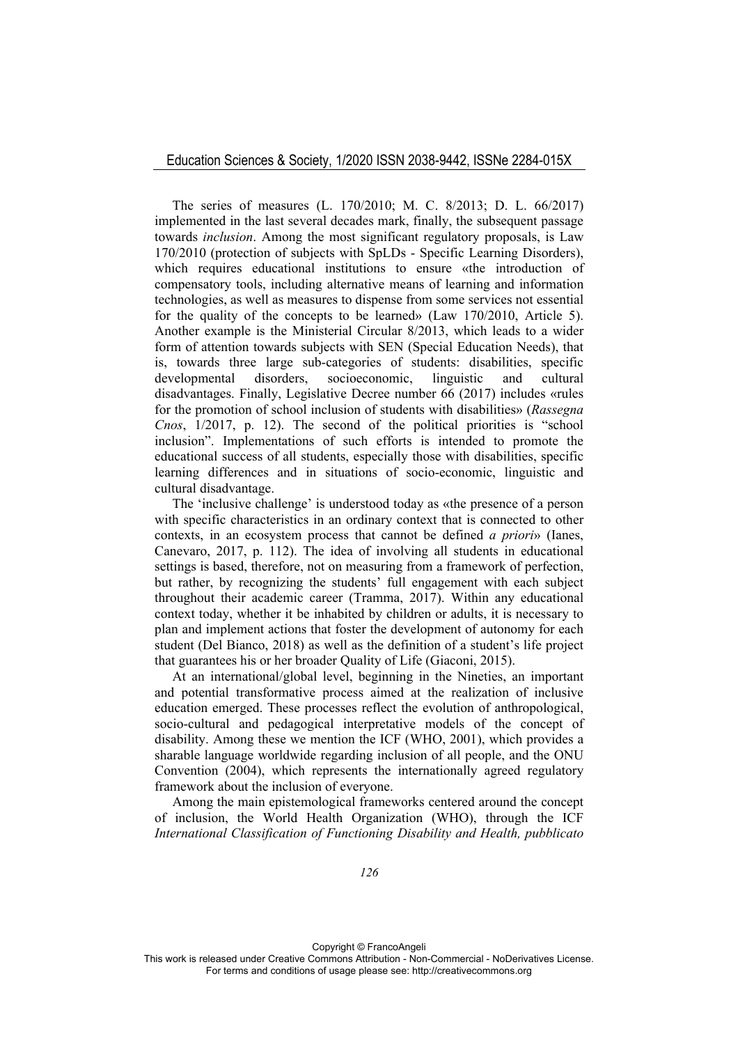## Education Sciences & Society, 1/2020 ISSN 2038-9442, ISSNe 2284-015X

The series of measures (L. 170/2010; M. C. 8/2013; D. L. 66/2017) implemented in the last several decades mark, finally, the subsequent passage towards *inclusion*. Among the most significant regulatory proposals, is Law 170/2010 (protection of subjects with SpLDs - Specific Learning Disorders), which requires educational institutions to ensure «the introduction of compensatory tools, including alternative means of learning and information technologies, as well as measures to dispense from some services not essential for the quality of the concepts to be learned» (Law 170/2010, Article 5). Another example is the Ministerial Circular 8/2013, which leads to a wider form of attention towards subjects with SEN (Special Education Needs), that is, towards three large sub-categories of students: disabilities, specific developmental disorders, socioeconomic, linguistic and cultural disadvantages. Finally, Legislative Decree number 66 (2017) includes «rules for the promotion of school inclusion of students with disabilities» (*Rassegna Cnos*, 1/2017, p. 12). The second of the political priorities is "school inclusion". Implementations of such efforts is intended to promote the educational success of all students, especially those with disabilities, specific learning differences and in situations of socio-economic, linguistic and cultural disadvantage.

The 'inclusive challenge' is understood today as «the presence of a person with specific characteristics in an ordinary context that is connected to other contexts, in an ecosystem process that cannot be defined *a priori*» (Ianes, Canevaro, 2017, p. 112). The idea of involving all students in educational settings is based, therefore, not on measuring from a framework of perfection, but rather, by recognizing the students' full engagement with each subject throughout their academic career (Tramma, 2017). Within any educational context today, whether it be inhabited by children or adults, it is necessary to plan and implement actions that foster the development of autonomy for each student (Del Bianco, 2018) as well as the definition of a student's life project that guarantees his or her broader Quality of Life (Giaconi, 2015).

At an international/global level, beginning in the Nineties, an important and potential transformative process aimed at the realization of inclusive education emerged. These processes reflect the evolution of anthropological, socio-cultural and pedagogical interpretative models of the concept of disability. Among these we mention the ICF (WHO, 2001), which provides a sharable language worldwide regarding inclusion of all people, and the ONU Convention (2004), which represents the internationally agreed regulatory framework about the inclusion of everyone.

Among the main epistemological frameworks centered around the concept of inclusion, the World Health Organization (WHO), through the ICF *International Classification of Functioning Disability and Health, pubblicato*

Copyright © FrancoAngeli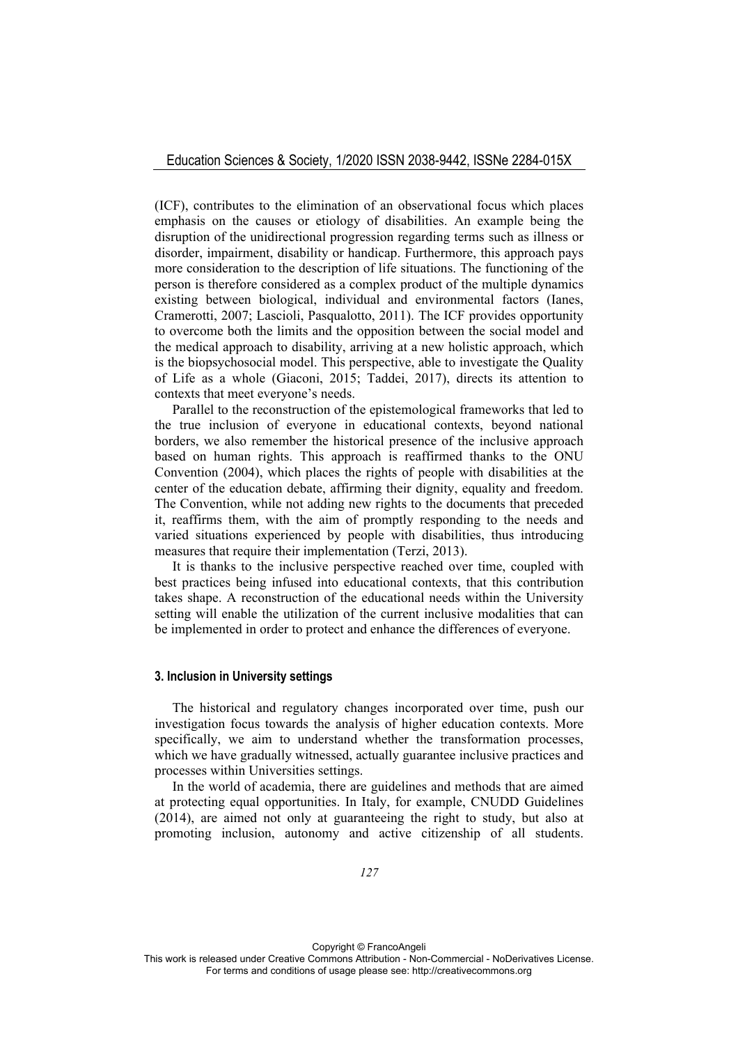(ICF), contributes to the elimination of an observational focus which places emphasis on the causes or etiology of disabilities. An example being the disruption of the unidirectional progression regarding terms such as illness or disorder, impairment, disability or handicap. Furthermore, this approach pays more consideration to the description of life situations. The functioning of the person is therefore considered as a complex product of the multiple dynamics existing between biological, individual and environmental factors (Ianes, Cramerotti, 2007; Lascioli, Pasqualotto, 2011). The ICF provides opportunity to overcome both the limits and the opposition between the social model and the medical approach to disability, arriving at a new holistic approach, which is the biopsychosocial model. This perspective, able to investigate the Quality of Life as a whole (Giaconi, 2015; Taddei, 2017), directs its attention to contexts that meet everyone's needs.

Parallel to the reconstruction of the epistemological frameworks that led to the true inclusion of everyone in educational contexts, beyond national borders, we also remember the historical presence of the inclusive approach based on human rights. This approach is reaffirmed thanks to the ONU Convention (2004), which places the rights of people with disabilities at the center of the education debate, affirming their dignity, equality and freedom. The Convention, while not adding new rights to the documents that preceded it, reaffirms them, with the aim of promptly responding to the needs and varied situations experienced by people with disabilities, thus introducing measures that require their implementation (Terzi, 2013).

It is thanks to the inclusive perspective reached over time, coupled with best practices being infused into educational contexts, that this contribution takes shape. A reconstruction of the educational needs within the University setting will enable the utilization of the current inclusive modalities that can be implemented in order to protect and enhance the differences of everyone.

# **3. Inclusion in University settings**

The historical and regulatory changes incorporated over time, push our investigation focus towards the analysis of higher education contexts. More specifically, we aim to understand whether the transformation processes, which we have gradually witnessed, actually guarantee inclusive practices and processes within Universities settings.

In the world of academia, there are guidelines and methods that are aimed at protecting equal opportunities. In Italy, for example, CNUDD Guidelines (2014), are aimed not only at guaranteeing the right to study, but also at promoting inclusion, autonomy and active citizenship of all students.

Copyright © FrancoAngeli This work is released under Creative Commons Attribution - Non-Commercial - NoDerivatives License. For terms and conditions of usage please see: http://creativecommons.org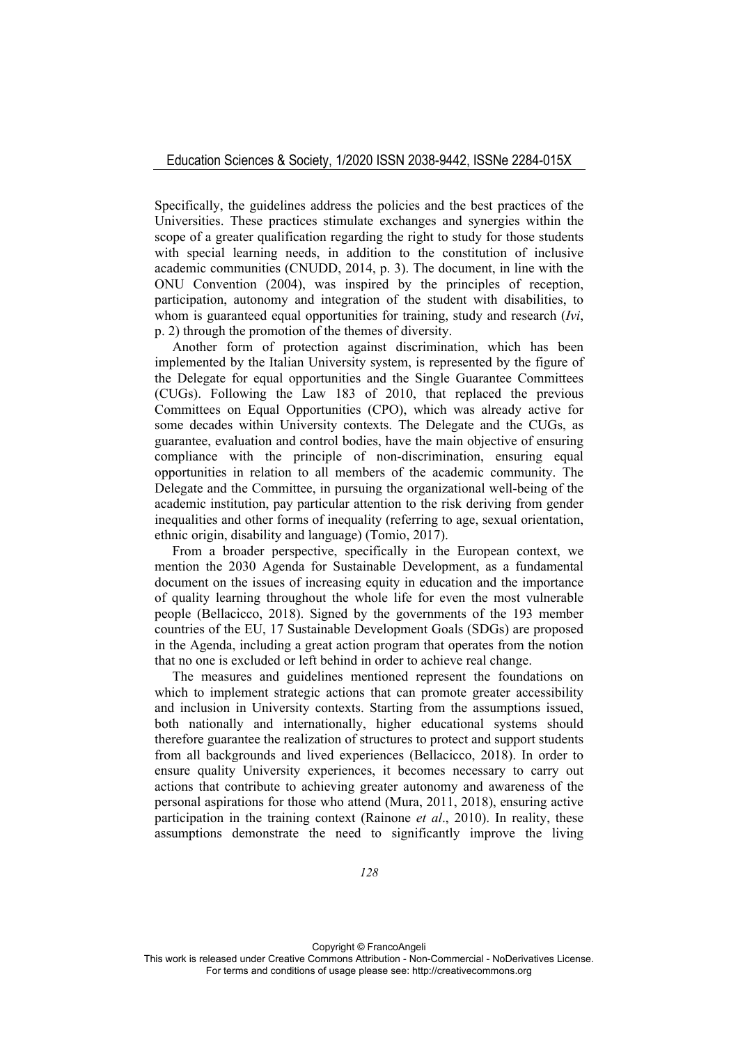Specifically, the guidelines address the policies and the best practices of the Universities. These practices stimulate exchanges and synergies within the scope of a greater qualification regarding the right to study for those students with special learning needs, in addition to the constitution of inclusive academic communities (CNUDD, 2014, p. 3). The document, in line with the ONU Convention (2004), was inspired by the principles of reception, participation, autonomy and integration of the student with disabilities, to whom is guaranteed equal opportunities for training, study and research (*Ivi*, p. 2) through the promotion of the themes of diversity.

Another form of protection against discrimination, which has been implemented by the Italian University system, is represented by the figure of the Delegate for equal opportunities and the Single Guarantee Committees (CUGs). Following the Law 183 of 2010, that replaced the previous Committees on Equal Opportunities (CPO), which was already active for some decades within University contexts. The Delegate and the CUGs, as guarantee, evaluation and control bodies, have the main objective of ensuring compliance with the principle of non-discrimination, ensuring equal opportunities in relation to all members of the academic community. The Delegate and the Committee, in pursuing the organizational well-being of the academic institution, pay particular attention to the risk deriving from gender inequalities and other forms of inequality (referring to age, sexual orientation, ethnic origin, disability and language) (Tomio, 2017).

From a broader perspective, specifically in the European context, we mention the 2030 Agenda for Sustainable Development, as a fundamental document on the issues of increasing equity in education and the importance of quality learning throughout the whole life for even the most vulnerable people (Bellacicco, 2018). Signed by the governments of the 193 member countries of the EU, 17 Sustainable Development Goals (SDGs) are proposed in the Agenda, including a great action program that operates from the notion that no one is excluded or left behind in order to achieve real change.

The measures and guidelines mentioned represent the foundations on which to implement strategic actions that can promote greater accessibility and inclusion in University contexts. Starting from the assumptions issued, both nationally and internationally, higher educational systems should therefore guarantee the realization of structures to protect and support students from all backgrounds and lived experiences (Bellacicco, 2018). In order to ensure quality University experiences, it becomes necessary to carry out actions that contribute to achieving greater autonomy and awareness of the personal aspirations for those who attend (Mura, 2011, 2018), ensuring active participation in the training context (Rainone *et al*., 2010). In reality, these assumptions demonstrate the need to significantly improve the living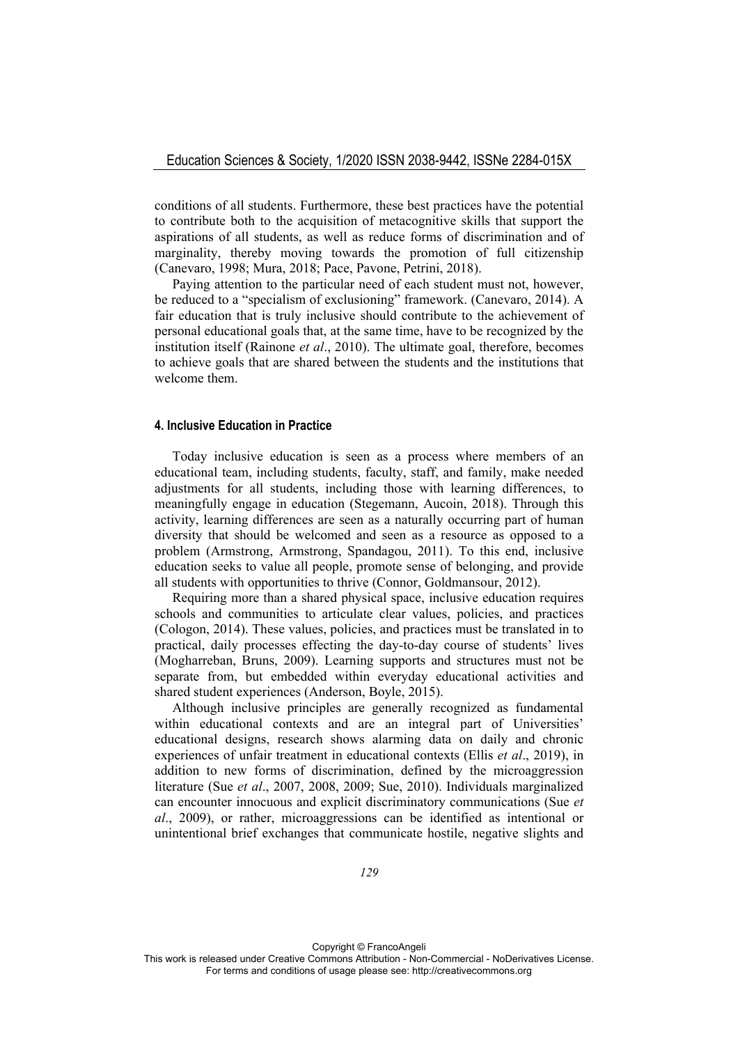conditions of all students. Furthermore, these best practices have the potential to contribute both to the acquisition of metacognitive skills that support the aspirations of all students, as well as reduce forms of discrimination and of marginality, thereby moving towards the promotion of full citizenship (Canevaro, 1998; Mura, 2018; Pace, Pavone, Petrini, 2018).

Paying attention to the particular need of each student must not, however, be reduced to a "specialism of exclusioning" framework. (Canevaro, 2014). A fair education that is truly inclusive should contribute to the achievement of personal educational goals that, at the same time, have to be recognized by the institution itself (Rainone *et al*., 2010). The ultimate goal, therefore, becomes to achieve goals that are shared between the students and the institutions that welcome them.

### **4. Inclusive Education in Practice**

Today inclusive education is seen as a process where members of an educational team, including students, faculty, staff, and family, make needed adjustments for all students, including those with learning differences, to meaningfully engage in education (Stegemann, Aucoin, 2018). Through this activity, learning differences are seen as a naturally occurring part of human diversity that should be welcomed and seen as a resource as opposed to a problem (Armstrong, Armstrong, Spandagou, 2011). To this end, inclusive education seeks to value all people, promote sense of belonging, and provide all students with opportunities to thrive (Connor, Goldmansour, 2012).

Requiring more than a shared physical space, inclusive education requires schools and communities to articulate clear values, policies, and practices (Cologon, 2014). These values, policies, and practices must be translated in to practical, daily processes effecting the day-to-day course of students' lives (Mogharreban, Bruns, 2009). Learning supports and structures must not be separate from, but embedded within everyday educational activities and shared student experiences (Anderson, Boyle, 2015).

Although inclusive principles are generally recognized as fundamental within educational contexts and are an integral part of Universities' educational designs, research shows alarming data on daily and chronic experiences of unfair treatment in educational contexts (Ellis *et al*., 2019), in addition to new forms of discrimination, defined by the microaggression literature (Sue *et al*., 2007, 2008, 2009; Sue, 2010). Individuals marginalized can encounter innocuous and explicit discriminatory communications (Sue *et al*., 2009), or rather, microaggressions can be identified as intentional or unintentional brief exchanges that communicate hostile, negative slights and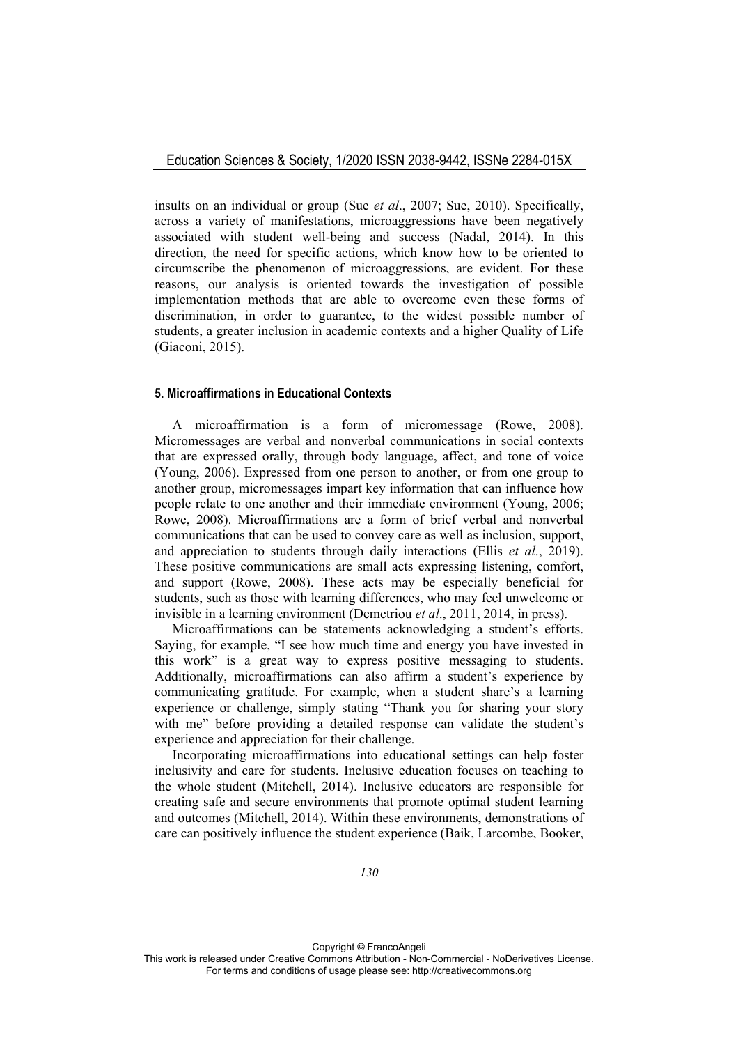insults on an individual or group (Sue *et al*., 2007; Sue, 2010). Specifically, across a variety of manifestations, microaggressions have been negatively associated with student well-being and success (Nadal, 2014). In this direction, the need for specific actions, which know how to be oriented to circumscribe the phenomenon of microaggressions, are evident. For these reasons, our analysis is oriented towards the investigation of possible implementation methods that are able to overcome even these forms of discrimination, in order to guarantee, to the widest possible number of students, a greater inclusion in academic contexts and a higher Quality of Life (Giaconi, 2015).

#### **5. Microaffirmations in Educational Contexts**

A microaffirmation is a form of micromessage (Rowe, 2008). Micromessages are verbal and nonverbal communications in social contexts that are expressed orally, through body language, affect, and tone of voice (Young, 2006). Expressed from one person to another, or from one group to another group, micromessages impart key information that can influence how people relate to one another and their immediate environment (Young, 2006; Rowe, 2008). Microaffirmations are a form of brief verbal and nonverbal communications that can be used to convey care as well as inclusion, support, and appreciation to students through daily interactions (Ellis *et al*., 2019). These positive communications are small acts expressing listening, comfort, and support (Rowe, 2008). These acts may be especially beneficial for students, such as those with learning differences, who may feel unwelcome or invisible in a learning environment (Demetriou *et al*., 2011, 2014, in press).

Microaffirmations can be statements acknowledging a student's efforts. Saying, for example, "I see how much time and energy you have invested in this work" is a great way to express positive messaging to students. Additionally, microaffirmations can also affirm a student's experience by communicating gratitude. For example, when a student share's a learning experience or challenge, simply stating "Thank you for sharing your story with me" before providing a detailed response can validate the student's experience and appreciation for their challenge.

Incorporating microaffirmations into educational settings can help foster inclusivity and care for students. Inclusive education focuses on teaching to the whole student (Mitchell, 2014). Inclusive educators are responsible for creating safe and secure environments that promote optimal student learning and outcomes (Mitchell, 2014). Within these environments, demonstrations of care can positively influence the student experience (Baik, Larcombe, Booker,

Copyright © FrancoAngeli This work is released under Creative Commons Attribution - Non-Commercial - NoDerivatives License. For terms and conditions of usage please see: http://creativecommons.org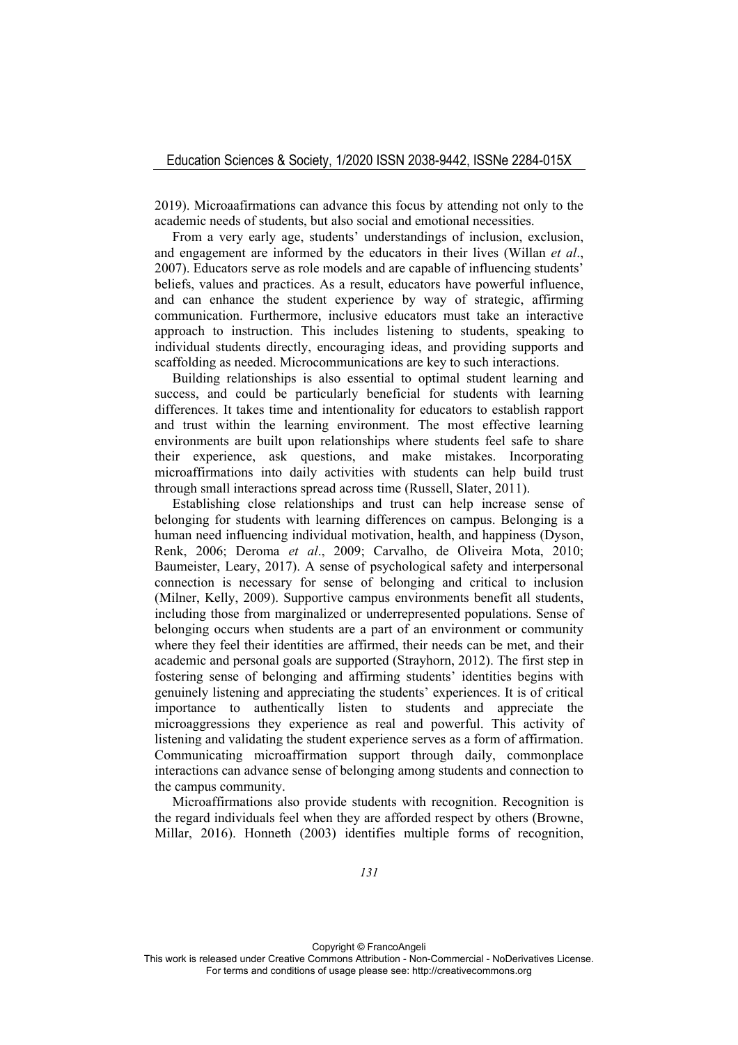2019). Microaafirmations can advance this focus by attending not only to the academic needs of students, but also social and emotional necessities.

From a very early age, students' understandings of inclusion, exclusion, and engagement are informed by the educators in their lives (Willan *et al*., 2007). Educators serve as role models and are capable of influencing students' beliefs, values and practices. As a result, educators have powerful influence, and can enhance the student experience by way of strategic, affirming communication. Furthermore, inclusive educators must take an interactive approach to instruction. This includes listening to students, speaking to individual students directly, encouraging ideas, and providing supports and scaffolding as needed. Microcommunications are key to such interactions.

Building relationships is also essential to optimal student learning and success, and could be particularly beneficial for students with learning differences. It takes time and intentionality for educators to establish rapport and trust within the learning environment. The most effective learning environments are built upon relationships where students feel safe to share their experience, ask questions, and make mistakes. Incorporating microaffirmations into daily activities with students can help build trust through small interactions spread across time (Russell, Slater, 2011).

Establishing close relationships and trust can help increase sense of belonging for students with learning differences on campus. Belonging is a human need influencing individual motivation, health, and happiness (Dyson, Renk, 2006; Deroma *et al*., 2009; Carvalho, de Oliveira Mota, 2010; Baumeister, Leary, 2017). A sense of psychological safety and interpersonal connection is necessary for sense of belonging and critical to inclusion (Milner, Kelly, 2009). Supportive campus environments benefit all students, including those from marginalized or underrepresented populations. Sense of belonging occurs when students are a part of an environment or community where they feel their identities are affirmed, their needs can be met, and their academic and personal goals are supported (Strayhorn, 2012). The first step in fostering sense of belonging and affirming students' identities begins with genuinely listening and appreciating the students' experiences. It is of critical importance to authentically listen to students and appreciate the microaggressions they experience as real and powerful. This activity of listening and validating the student experience serves as a form of affirmation. Communicating microaffirmation support through daily, commonplace interactions can advance sense of belonging among students and connection to the campus community.

Microaffirmations also provide students with recognition. Recognition is the regard individuals feel when they are afforded respect by others (Browne, Millar, 2016). Honneth (2003) identifies multiple forms of recognition,

Copyright © FrancoAngeli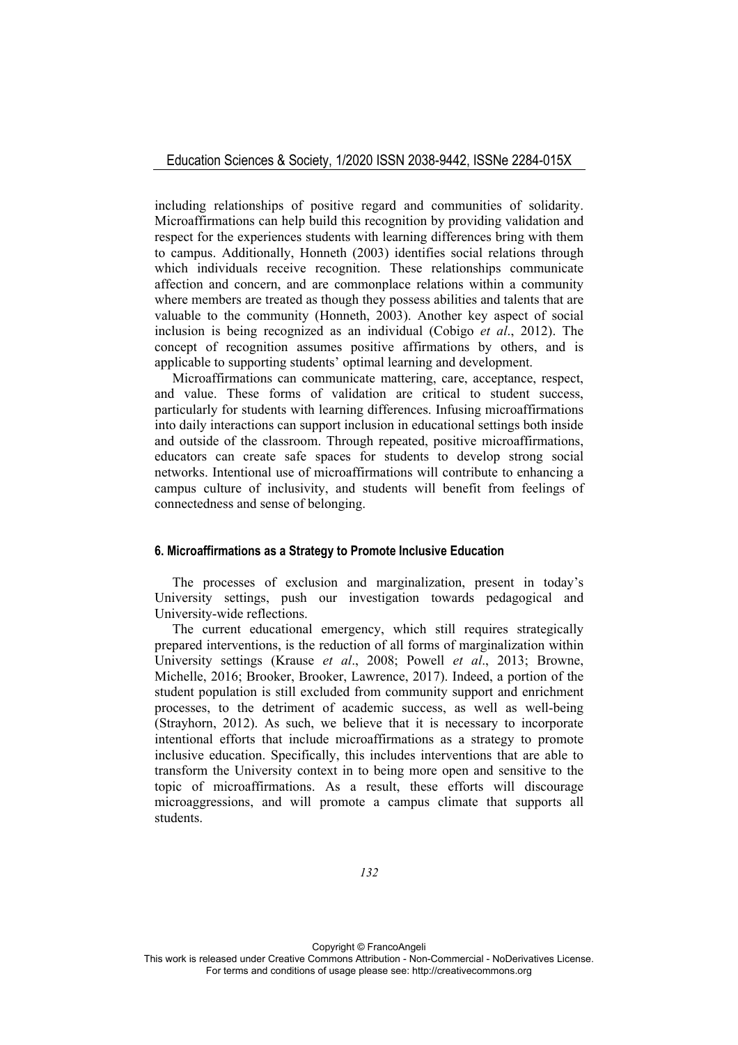including relationships of positive regard and communities of solidarity. Microaffirmations can help build this recognition by providing validation and respect for the experiences students with learning differences bring with them to campus. Additionally, Honneth (2003) identifies social relations through which individuals receive recognition. These relationships communicate affection and concern, and are commonplace relations within a community where members are treated as though they possess abilities and talents that are valuable to the community (Honneth, 2003). Another key aspect of social inclusion is being recognized as an individual (Cobigo *et al*., 2012). The concept of recognition assumes positive affirmations by others, and is applicable to supporting students' optimal learning and development.

Microaffirmations can communicate mattering, care, acceptance, respect, and value. These forms of validation are critical to student success, particularly for students with learning differences. Infusing microaffirmations into daily interactions can support inclusion in educational settings both inside and outside of the classroom. Through repeated, positive microaffirmations, educators can create safe spaces for students to develop strong social networks. Intentional use of microaffirmations will contribute to enhancing a campus culture of inclusivity, and students will benefit from feelings of connectedness and sense of belonging.

## **6. Microaffirmations as a Strategy to Promote Inclusive Education**

The processes of exclusion and marginalization, present in today's University settings, push our investigation towards pedagogical and University-wide reflections.

The current educational emergency, which still requires strategically prepared interventions, is the reduction of all forms of marginalization within University settings (Krause *et al*., 2008; Powell *et al*., 2013; Browne, Michelle, 2016; Brooker, Brooker, Lawrence, 2017). Indeed, a portion of the student population is still excluded from community support and enrichment processes, to the detriment of academic success, as well as well-being (Strayhorn, 2012). As such, we believe that it is necessary to incorporate intentional efforts that include microaffirmations as a strategy to promote inclusive education. Specifically, this includes interventions that are able to transform the University context in to being more open and sensitive to the topic of microaffirmations. As a result, these efforts will discourage microaggressions, and will promote a campus climate that supports all students.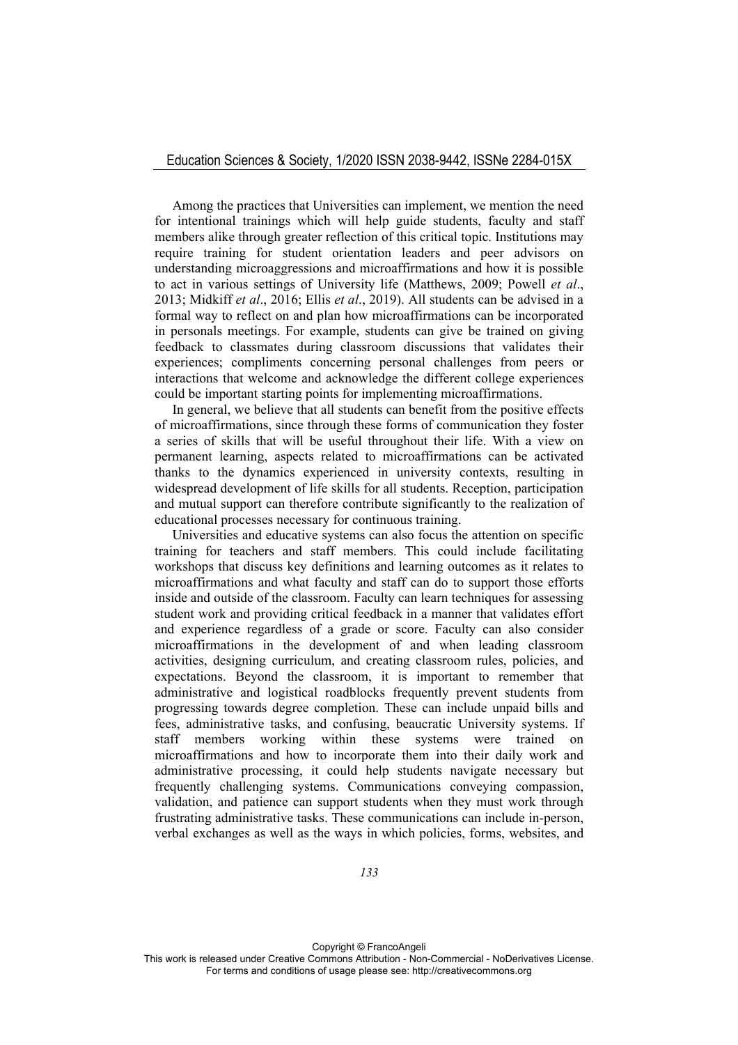Among the practices that Universities can implement, we mention the need for intentional trainings which will help guide students, faculty and staff members alike through greater reflection of this critical topic. Institutions may require training for student orientation leaders and peer advisors on understanding microaggressions and microaffirmations and how it is possible to act in various settings of University life (Matthews, 2009; Powell *et al*., 2013; Midkiff *et al*., 2016; Ellis *et al*., 2019). All students can be advised in a formal way to reflect on and plan how microaffirmations can be incorporated in personals meetings. For example, students can give be trained on giving feedback to classmates during classroom discussions that validates their experiences; compliments concerning personal challenges from peers or interactions that welcome and acknowledge the different college experiences could be important starting points for implementing microaffirmations.

In general, we believe that all students can benefit from the positive effects of microaffirmations, since through these forms of communication they foster a series of skills that will be useful throughout their life. With a view on permanent learning, aspects related to microaffirmations can be activated thanks to the dynamics experienced in university contexts, resulting in widespread development of life skills for all students. Reception, participation and mutual support can therefore contribute significantly to the realization of educational processes necessary for continuous training.

Universities and educative systems can also focus the attention on specific training for teachers and staff members. This could include facilitating workshops that discuss key definitions and learning outcomes as it relates to microaffirmations and what faculty and staff can do to support those efforts inside and outside of the classroom. Faculty can learn techniques for assessing student work and providing critical feedback in a manner that validates effort and experience regardless of a grade or score. Faculty can also consider microaffirmations in the development of and when leading classroom activities, designing curriculum, and creating classroom rules, policies, and expectations. Beyond the classroom, it is important to remember that administrative and logistical roadblocks frequently prevent students from progressing towards degree completion. These can include unpaid bills and fees, administrative tasks, and confusing, beaucratic University systems. If staff members working within these systems were trained on microaffirmations and how to incorporate them into their daily work and administrative processing, it could help students navigate necessary but frequently challenging systems. Communications conveying compassion, validation, and patience can support students when they must work through frustrating administrative tasks. These communications can include in-person, verbal exchanges as well as the ways in which policies, forms, websites, and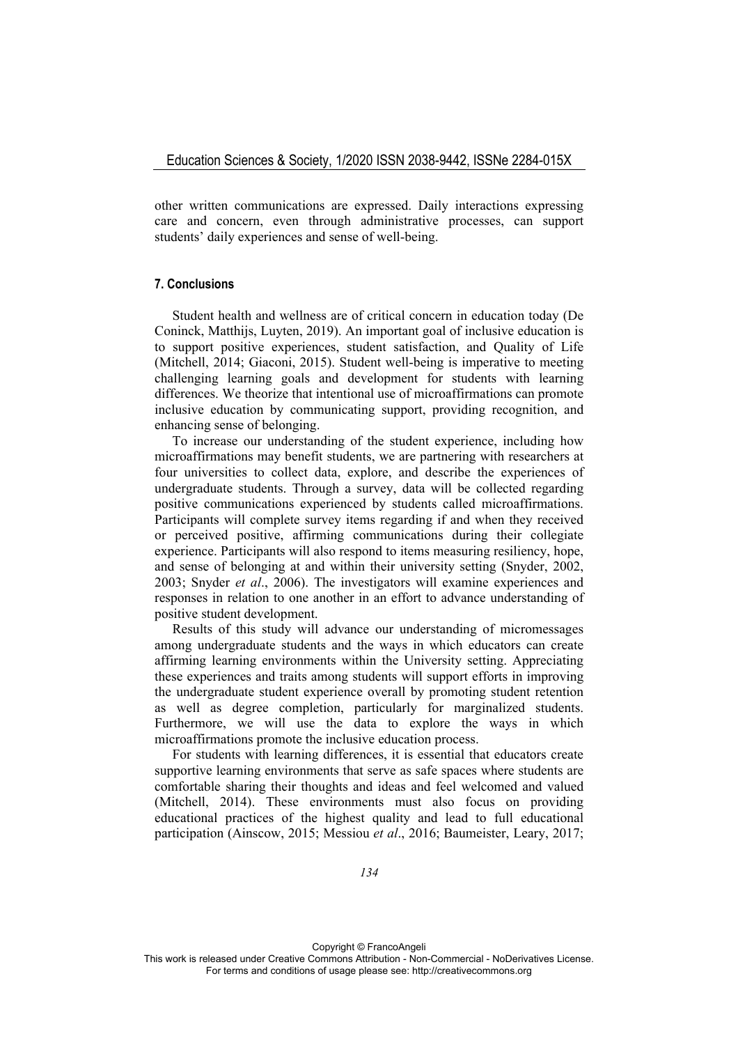other written communications are expressed. Daily interactions expressing care and concern, even through administrative processes, can support students' daily experiences and sense of well-being.

# **7. Conclusions**

Student health and wellness are of critical concern in education today (De Coninck, Matthijs, Luyten, 2019). An important goal of inclusive education is to support positive experiences, student satisfaction, and Quality of Life (Mitchell, 2014; Giaconi, 2015). Student well-being is imperative to meeting challenging learning goals and development for students with learning differences. We theorize that intentional use of microaffirmations can promote inclusive education by communicating support, providing recognition, and enhancing sense of belonging.

To increase our understanding of the student experience, including how microaffirmations may benefit students, we are partnering with researchers at four universities to collect data, explore, and describe the experiences of undergraduate students. Through a survey, data will be collected regarding positive communications experienced by students called microaffirmations. Participants will complete survey items regarding if and when they received or perceived positive, affirming communications during their collegiate experience. Participants will also respond to items measuring resiliency, hope, and sense of belonging at and within their university setting (Snyder, 2002, 2003; Snyder *et al*., 2006). The investigators will examine experiences and responses in relation to one another in an effort to advance understanding of positive student development.

Results of this study will advance our understanding of micromessages among undergraduate students and the ways in which educators can create affirming learning environments within the University setting. Appreciating these experiences and traits among students will support efforts in improving the undergraduate student experience overall by promoting student retention as well as degree completion, particularly for marginalized students. Furthermore, we will use the data to explore the ways in which microaffirmations promote the inclusive education process.

For students with learning differences, it is essential that educators create supportive learning environments that serve as safe spaces where students are comfortable sharing their thoughts and ideas and feel welcomed and valued (Mitchell, 2014). These environments must also focus on providing educational practices of the highest quality and lead to full educational participation (Ainscow, 2015; Messiou *et al*., 2016; Baumeister, Leary, 2017;

Copyright © FrancoAngeli This work is released under Creative Commons Attribution - Non-Commercial - NoDerivatives License. For terms and conditions of usage please see: http://creativecommons.org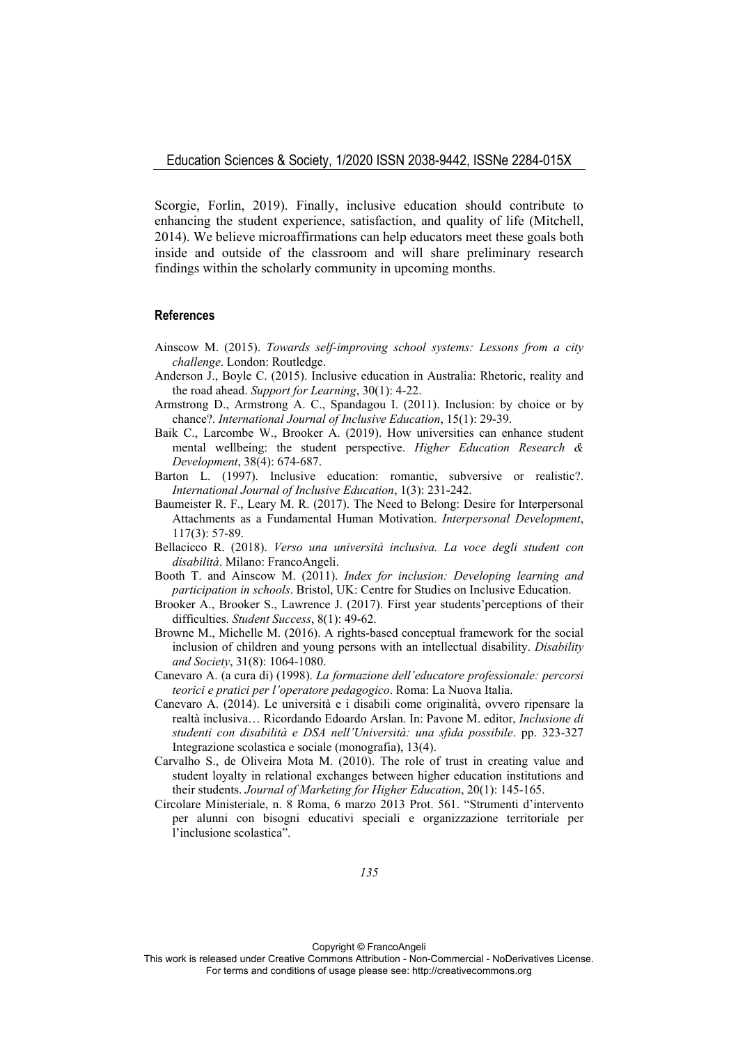Scorgie, Forlin, 2019). Finally, inclusive education should contribute to enhancing the student experience, satisfaction, and quality of life (Mitchell, 2014). We believe microaffirmations can help educators meet these goals both inside and outside of the classroom and will share preliminary research findings within the scholarly community in upcoming months.

#### **References**

- Ainscow M. (2015). *Towards self-improving school systems: Lessons from a city challenge*. London: Routledge.
- Anderson J., Boyle C. (2015). Inclusive education in Australia: Rhetoric, reality and the road ahead. *Support for Learning*, 30(1): 4-22.
- Armstrong D., Armstrong A. C., Spandagou I. (2011). Inclusion: by choice or by chance?. *International Journal of Inclusive Education*, 15(1): 29-39.
- Baik C., Larcombe W., Brooker A. (2019). How universities can enhance student mental wellbeing: the student perspective. *Higher Education Research & Development*, 38(4): 674-687.
- Barton L. (1997). Inclusive education: romantic, subversive or realistic?. *International Journal of Inclusive Education*, 1(3): 231-242.
- Baumeister R. F., Leary M. R. (2017). The Need to Belong: Desire for Interpersonal Attachments as a Fundamental Human Motivation. *Interpersonal Development*, 117(3): 57-89.
- Bellacicco R. (2018). *Verso una università inclusiva. La voce degli student con disabilità*. Milano: FrancoAngeli.
- Booth T. and Ainscow M. (2011). *Index for inclusion: Developing learning and participation in schools*. Bristol, UK: Centre for Studies on Inclusive Education.
- Brooker A., Brooker S., Lawrence J. (2017). First year students'perceptions of their difficulties. *Student Success*, 8(1): 49-62.
- Browne M., Michelle M. (2016). A rights-based conceptual framework for the social inclusion of children and young persons with an intellectual disability. *Disability and Society*, 31(8): 1064-1080.
- Canevaro A. (a cura di) (1998). *La formazione dell'educatore professionale: percorsi teorici e pratici per l'operatore pedagogico*. Roma: La Nuova Italia.
- Canevaro A. (2014). Le università e i disabili come originalità, ovvero ripensare la realtà inclusiva… Ricordando Edoardo Arslan. In: Pavone M. editor, *Inclusione di studenti con disabilità e DSA nell'Università: una sfida possibile*. pp. 323-327 Integrazione scolastica e sociale (monografia), 13(4).
- Carvalho S., de Oliveira Mota M. (2010). The role of trust in creating value and student loyalty in relational exchanges between higher education institutions and their students. *Journal of Marketing for Higher Education*, 20(1): 145-165.
- Circolare Ministeriale, n. 8 Roma, 6 marzo 2013 Prot. 561. "Strumenti d'intervento per alunni con bisogni educativi speciali e organizzazione territoriale per l'inclusione scolastica".

Copyright © FrancoAngeli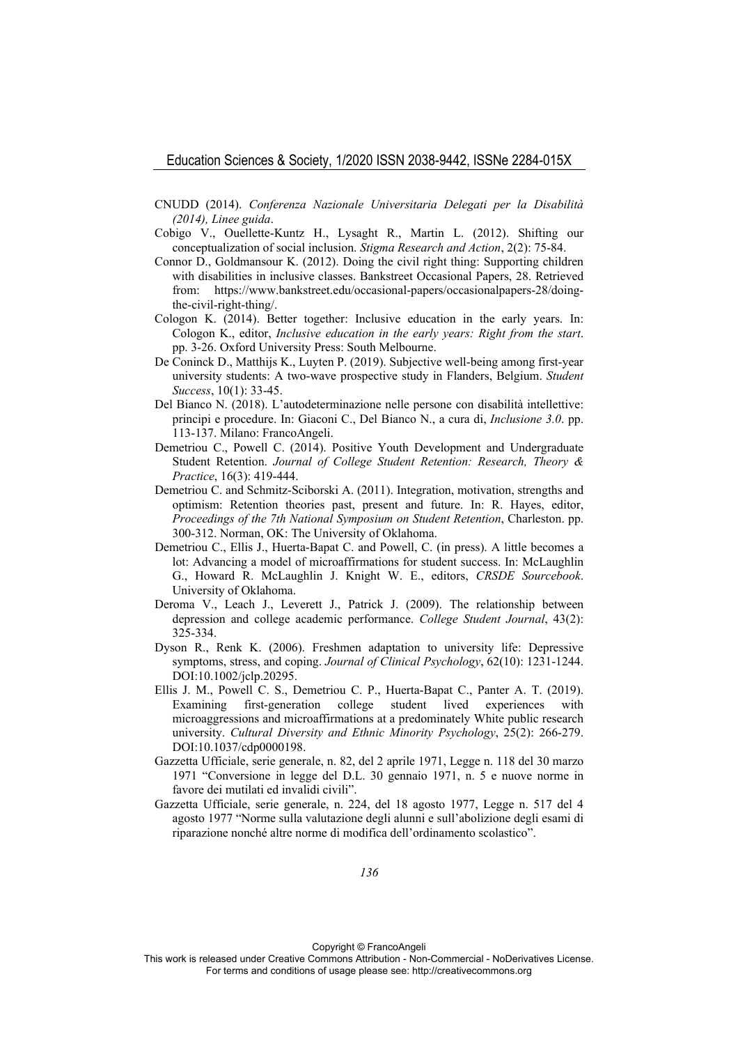- CNUDD (2014). *Conferenza Nazionale Universitaria Delegati per la Disabilità (2014), Linee guida*.
- Cobigo V., Ouellette-Kuntz H., Lysaght R., Martin L. (2012). Shifting our conceptualization of social inclusion. *Stigma Research and Action*, 2(2): 75-84.
- Connor D., Goldmansour K. (2012). Doing the civil right thing: Supporting children with disabilities in inclusive classes. Bankstreet Occasional Papers, 28. Retrieved from: https://www.bankstreet.edu/occasional-papers/occasionalpapers-28/doingthe-civil-right-thing/.
- Cologon K. (2014). Better together: Inclusive education in the early years. In: Cologon K., editor, *Inclusive education in the early years: Right from the start*. pp. 3-26. Oxford University Press: South Melbourne.
- De Coninck D., Matthijs K., Luyten P. (2019). Subjective well-being among first-year university students: A two-wave prospective study in Flanders, Belgium. *Student Success*, 10(1): 33-45.
- Del Bianco N. (2018). L'autodeterminazione nelle persone con disabilità intellettive: principi e procedure. In: Giaconi C., Del Bianco N., a cura di, *Inclusione 3.0*. pp. 113-137. Milano: FrancoAngeli.
- Demetriou C., Powell C. (2014). Positive Youth Development and Undergraduate Student Retention. *Journal of College Student Retention: Research, Theory & Practice*, 16(3): 419-444.
- Demetriou C. and Schmitz-Sciborski A. (2011). Integration, motivation, strengths and optimism: Retention theories past, present and future. In: R. Hayes, editor, *Proceedings of the 7th National Symposium on Student Retention*, Charleston. pp. 300-312. Norman, OK: The University of Oklahoma.
- Demetriou C., Ellis J., Huerta-Bapat C. and Powell, C. (in press). A little becomes a lot: Advancing a model of microaffirmations for student success. In: McLaughlin G., Howard R. McLaughlin J. Knight W. E., editors, *CRSDE Sourcebook*. University of Oklahoma.
- Deroma V., Leach J., Leverett J., Patrick J. (2009). The relationship between depression and college academic performance. *College Student Journal*, 43(2): 325-334.
- Dyson R., Renk K. (2006). Freshmen adaptation to university life: Depressive symptoms, stress, and coping. *Journal of Clinical Psychology*, 62(10): 1231-1244. DOI:10.1002/jclp.20295.
- Ellis J. M., Powell C. S., Demetriou C. P., Huerta-Bapat C., Panter A. T. (2019). Examining first-generation college student lived experiences with microaggressions and microaffirmations at a predominately White public research university. *Cultural Diversity and Ethnic Minority Psychology*, 25(2): 266-279. DOI:10.1037/cdp0000198.
- Gazzetta Ufficiale, serie generale, n. 82, del 2 aprile 1971, Legge n. 118 del 30 marzo 1971 "Conversione in legge del D.L. 30 gennaio 1971, n. 5 e nuove norme in favore dei mutilati ed invalidi civili".
- Gazzetta Ufficiale, serie generale, n. 224, del 18 agosto 1977, Legge n. 517 del 4 agosto 1977 "Norme sulla valutazione degli alunni e sull'abolizione degli esami di riparazione nonché altre norme di modifica dell'ordinamento scolastico".

Copyright © FrancoAngeli

This work is released under Creative Commons Attribution - Non-Commercial - NoDerivatives License. For terms and conditions of usage please see: http://creativecommons.org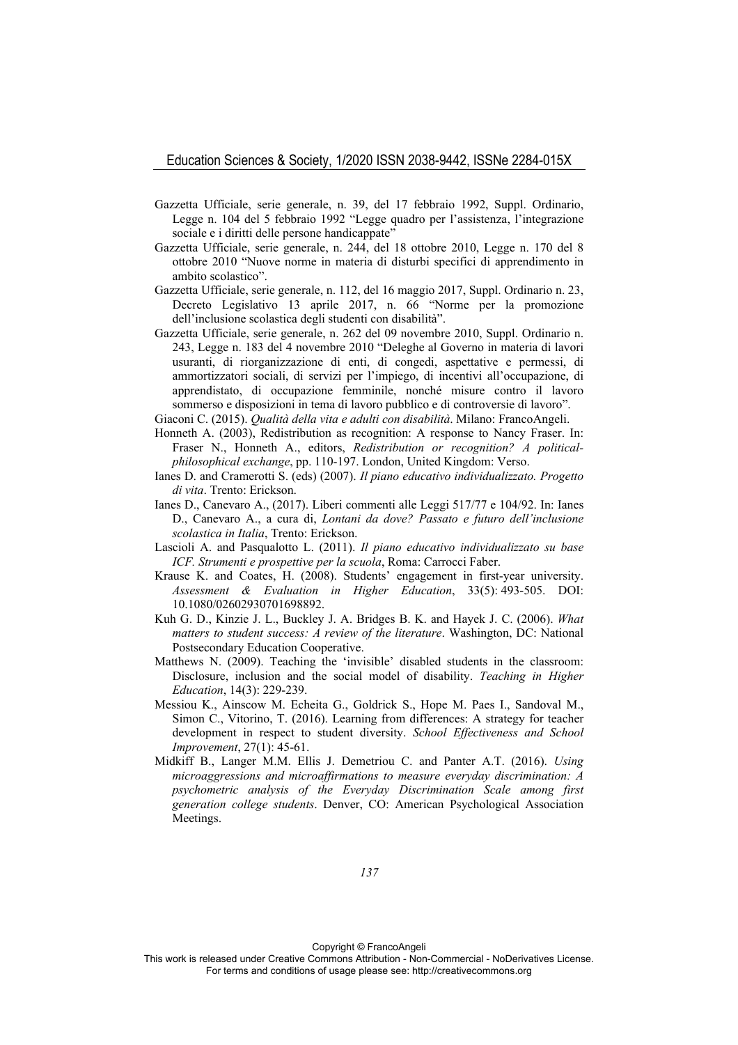- Gazzetta Ufficiale, serie generale, n. 39, del 17 febbraio 1992, Suppl. Ordinario, Legge n. 104 del 5 febbraio 1992 "Legge quadro per l'assistenza, l'integrazione sociale e i diritti delle persone handicappate"
- Gazzetta Ufficiale, serie generale, n. 244, del 18 ottobre 2010, Legge n. 170 del 8 ottobre 2010 "Nuove norme in materia di disturbi specifici di apprendimento in ambito scolastico".
- Gazzetta Ufficiale, serie generale, n. 112, del 16 maggio 2017, Suppl. Ordinario n. 23, Decreto Legislativo 13 aprile 2017, n. 66 "Norme per la promozione dell'inclusione scolastica degli studenti con disabilità".
- Gazzetta Ufficiale, serie generale, n. 262 del 09 novembre 2010, Suppl. Ordinario n. 243, Legge n. 183 del 4 novembre 2010 "Deleghe al Governo in materia di lavori usuranti, di riorganizzazione di enti, di congedi, aspettative e permessi, di ammortizzatori sociali, di servizi per l'impiego, di incentivi all'occupazione, di apprendistato, di occupazione femminile, nonché misure contro il lavoro sommerso e disposizioni in tema di lavoro pubblico e di controversie di lavoro".
- Giaconi C. (2015). *Qualità della vita e adulti con disabilità*. Milano: FrancoAngeli.
- Honneth A. (2003), Redistribution as recognition: A response to Nancy Fraser. In: Fraser N., Honneth A., editors, *Redistribution or recognition? A politicalphilosophical exchange*, pp. 110-197. London, United Kingdom: Verso.
- Ianes D. and Cramerotti S. (eds) (2007). *Il piano educativo individualizzato. Progetto di vita*. Trento: Erickson.
- Ianes D., Canevaro A., (2017). Liberi commenti alle Leggi 517/77 e 104/92. In: Ianes D., Canevaro A., a cura di, *Lontani da dove? Passato e futuro dell'inclusione scolastica in Italia*, Trento: Erickson.
- Lascioli A. and Pasqualotto L. (2011). *Il piano educativo individualizzato su base ICF. Strumenti e prospettive per la scuola*, Roma: Carrocci Faber.
- Krause K. and Coates, H. (2008). Students' engagement in first-year university. *Assessment & Evaluation in Higher Education*, 33(5): 493-505. DOI: 10.1080/02602930701698892.
- Kuh G. D., Kinzie J. L., Buckley J. A. Bridges B. K. and Hayek J. C. (2006). *What matters to student success: A review of the literature*. Washington, DC: National Postsecondary Education Cooperative.
- Matthews N. (2009). Teaching the 'invisible' disabled students in the classroom: Disclosure, inclusion and the social model of disability. *Teaching in Higher Education*, 14(3): 229-239.
- Messiou K., Ainscow M. Echeita G., Goldrick S., Hope M. Paes I., Sandoval M., Simon C., Vitorino, T. (2016). Learning from differences: A strategy for teacher development in respect to student diversity. *School Effectiveness and School Improvement*, 27(1): 45-61.
- Midkiff B., Langer M.M. Ellis J. Demetriou C. and Panter A.T. (2016). *Using microaggressions and microaffirmations to measure everyday discrimination: A psychometric analysis of the Everyday Discrimination Scale among first generation college students*. Denver, CO: American Psychological Association Meetings.

Copyright © FrancoAngeli

This work is released under Creative Commons Attribution - Non-Commercial - NoDerivatives License. For terms and conditions of usage please see: http://creativecommons.org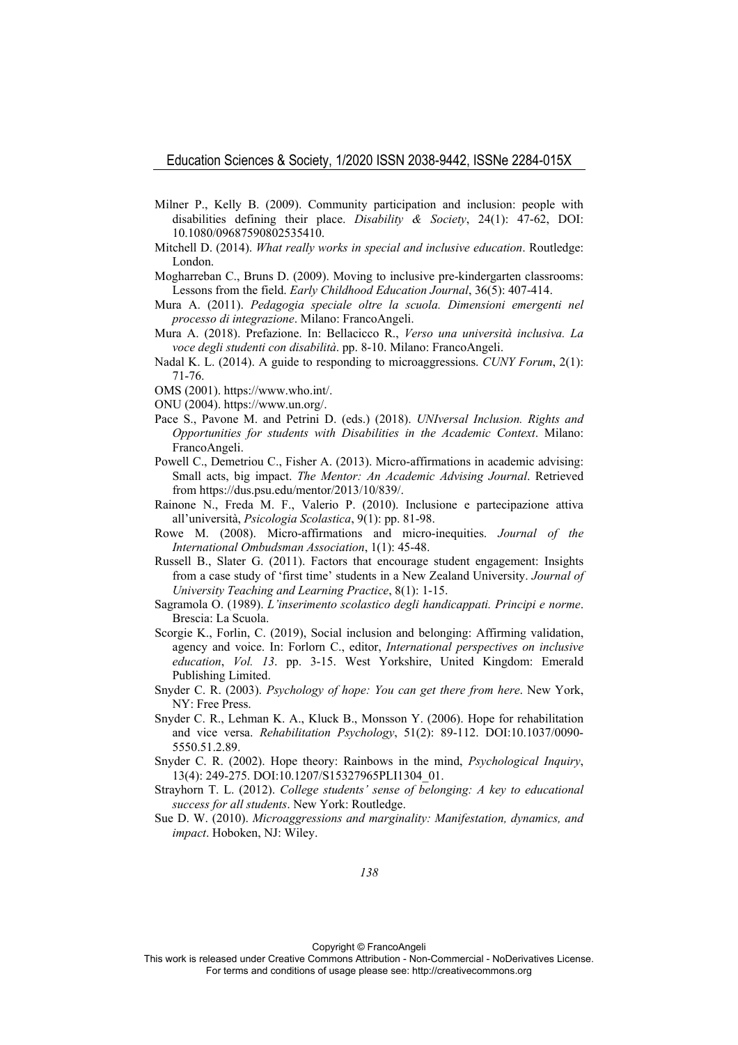- Milner P., Kelly B. (2009). Community participation and inclusion: people with disabilities defining their place. *Disability & Society*, 24(1): 47-62, DOI: 10.1080/09687590802535410.
- Mitchell D. (2014). *What really works in special and inclusive education*. Routledge: London.
- Mogharreban C., Bruns D. (2009). Moving to inclusive pre-kindergarten classrooms: Lessons from the field. *Early Childhood Education Journal*, 36(5): 407-414.
- Mura A. (2011). *Pedagogia speciale oltre la scuola. Dimensioni emergenti nel processo di integrazione*. Milano: FrancoAngeli.
- Mura A. (2018). Prefazione. In: Bellacicco R., *Verso una università inclusiva. La voce degli studenti con disabilità*. pp. 8-10. Milano: FrancoAngeli.
- Nadal K. L. (2014). A guide to responding to microaggressions. *CUNY Forum*, 2(1): 71-76.
- OMS (2001). https://www.who.int/.
- ONU (2004). https://www.un.org/.
- Pace S., Pavone M. and Petrini D. (eds.) (2018). *UNIversal Inclusion. Rights and Opportunities for students with Disabilities in the Academic Context*. Milano: FrancoAngeli.
- Powell C., Demetriou C., Fisher A. (2013). Micro-affirmations in academic advising: Small acts, big impact. *The Mentor: An Academic Advising Journal*. Retrieved from https://dus.psu.edu/mentor/2013/10/839/.
- Rainone N., Freda M. F., Valerio P. (2010). Inclusione e partecipazione attiva all'università, *Psicologia Scolastica*, 9(1): pp. 81-98.
- Rowe M. (2008). Micro-affirmations and micro-inequities. *Journal of the International Ombudsman Association*, 1(1): 45-48.
- Russell B., Slater G. (2011). Factors that encourage student engagement: Insights from a case study of 'first time' students in a New Zealand University. *Journal of University Teaching and Learning Practice*, 8(1): 1-15.
- Sagramola O. (1989). *L'inserimento scolastico degli handicappati. Principi e norme*. Brescia: La Scuola.
- Scorgie K., Forlin, C. (2019), Social inclusion and belonging: Affirming validation, agency and voice. In: Forlorn C., editor, *International perspectives on inclusive education*, *Vol. 13*. pp. 3-15. West Yorkshire, United Kingdom: Emerald Publishing Limited.
- Snyder C. R. (2003). *Psychology of hope: You can get there from here*. New York, NY: Free Press.
- Snyder C. R., Lehman K. A., Kluck B., Monsson Y. (2006). Hope for rehabilitation and vice versa. *Rehabilitation Psychology*, 51(2): 89-112. DOI:10.1037/0090- 5550.51.2.89.
- Snyder C. R. (2002). Hope theory: Rainbows in the mind, *Psychological Inquiry*, 13(4): 249-275. DOI:10.1207/S15327965PLI1304\_01.
- Strayhorn T. L. (2012). *College students' sense of belonging: A key to educational success for all students*. New York: Routledge.
- Sue D. W. (2010). *Microaggressions and marginality: Manifestation, dynamics, and impact*. Hoboken, NJ: Wiley.

Copyright © FrancoAngeli

This work is released under Creative Commons Attribution - Non-Commercial - NoDerivatives License. For terms and conditions of usage please see: http://creativecommons.org